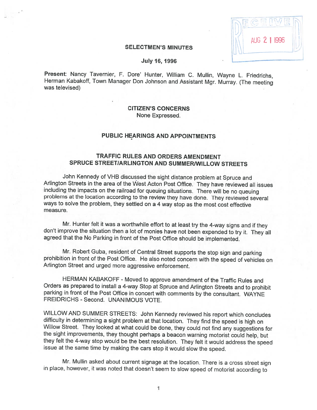| AUG 2 1 1996 |  |
|--------------|--|
|              |  |

## **SELECTMEN'S MINUTES**

#### **July 16, 1996**

Present: Nancy Tavernier, F. Dore' Hunter, William C. Mullin, Wayne L. Friedrichs, Herman Kabakoff, Town Manager Don Johnson and Assistant Mgr. Murray. (The meeting was televised)

## CITIZEN'S CONCERNS None Expressed.

# PUBLiC HEARINGS AND APPOINTMENTS

# TRAFFIC RULES AND ORDERS AMENDMENT SPRUCE STREET/ARLINGTON AND SUMMER/WILLOW STREETS

John Kennedy of VHB discussed the sight distance problem at Spruce and Arlington Streets in the area of the West Acton Post Office. They have reviewed all issues including the impacts on the railroad for queuing situations. There will be no queuing problems at the location according to the review they have done. They reviewed several ways to solve the problem, they settled on <sup>a</sup> <sup>4</sup> way stop as the most cost effective measure.

Mr. Hunter felt it was a worthwhile effort to at least try the 4-way signs and if they don't improve the situation then a lot of monies have not been expended to try it. They all agreed that the No Parking in front of the

Mr. Robert Guba, resident of Central Street supports the stop sign and parking prohibition in front of the Post Office. He also noted concern with the speed of vehicles on Arlington Street and urged more aggressive enforcement.

HERMAN KABAKOFF - Moved to approve amendment of the Traffic Rules and Orders as prepared to install <sup>a</sup> 4-way Stop at Spruce and Arlington Streets and to prohibit parking in front of the Post Office in concert with comments by the consultant. WAYNE FREIDRICHS - Second. UNANIMOUS VOTE.

WILLOW AND SUMMER STREETS: John Kennedy reviewed his report which concludes difficulty in determining a sight problem at that location. They find the speed is high on Willow Street. They looked at what could be done, they

Mr. Mullin asked about current signage at the location. There is <sup>a</sup> cross street sign in <sup>p</sup>lace, however, it was noted that doesn't seem to slow speed of motorist according to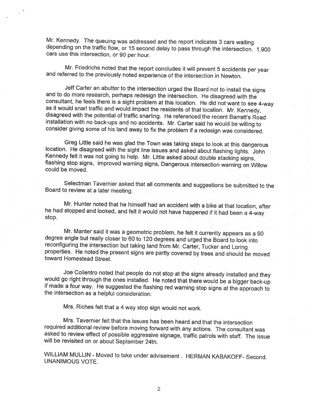Mr. Kennedy. The queuing was addressed and the report indicates <sup>3</sup> cars waiting depending on the traffic flow, or <sup>15</sup> second delay to pass through the intersection. 1,900 cars use this intersection, or <sup>90</sup> per hour.

Mr. Friedrichs noted that the report concludes it will prevent <sup>5</sup> accidents per year and referred to the previously noted experience of the intersection in Newton.

Jeff Carter an abutter to the intersection urged the Board not to install the signs<br>and to do more research, perhaps redesign the intersection. He disagreed with the<br>consultant, he feels there is a sight problem at this lo

Greg Little said he was glad the Town was taking steps to look at this dangerous location. He disagreed with the sight line issues and asked about flashing lights. John Kennedy felt it was not going to help. Mr. Little ask

Selectman Tavernier asked that all comments and suggestions be submitted to the Board to review at <sup>a</sup> later meeting.

Mr. Hunter noted that he himself had an accident with <sup>a</sup> bike at that location, after he had stopped and looked, and felt it would not have happened if it had been <sup>a</sup> 4-way stop.

Mr. Manter said it was a geometric problem, he felt it currently appears as a 90 degree angle but really closer to 60 to 120 degrees and urged the Board to look into reconfiguring the intersection but taking land from Mr.

Joe Collentro noted that people do not stop at the signs already installed and they would go right through the ones installed. He noted that there would be a bigger back-up if made a four way. He suggested the flashing red

Mrs. Riches felt that <sup>a</sup> <sup>4</sup> way stop sign would not work.

Mrs. Tavernier felt that the issues has been heard and that the intersection<br>required additional review before moving forward with any actions. The consultant was<br>asked to review effect of possible aggressive signage, traf

WILLIAM MULLIN - Moved to take under advisement. HERMAN KABAKOFF- Second.<br>UNANIMOUS VOTE.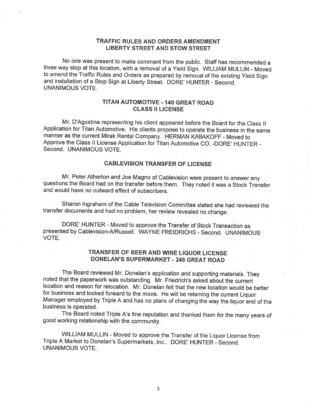## TRAFFIC RULES AND ORDERS AMENDMENT LIBERTY STREET AND STOW STREET

No one was present to make comment from the public. Staff has recommended <sup>a</sup> three way stop at this location, with <sup>a</sup> removal of <sup>a</sup> Yield Sign. WILLIAM MULLIN - Moved to amend the Traffic Rules and Orders as prepared by removal of the existing Yield Sign and installation of <sup>a</sup> Stop Sign at Liberty Street. DORE' HUNTER -Second. UNANIMOUS VOTE.

## TITAN AUTOMOTIVE - 140 GREAT ROAD CLASS II LICENSE

Mr. D'Agostine representing his client appeared before the Board for the Class II Application for Titan Automotive. His clients propose to operate the business in the same manner as the current Mirak Rental Company. HERMAN KABAKOFF - Moved to Approve the Class II License Application for Titan Automotive CO. -DORE' HUNTER - Second. UNANIMOUS VOTE.

## CABLEVISION TRANSFER OF LICENSE

Mr. Peter Atherton and Joe Magno of Cablevision were present to answer any questions the Board had on the transfer before them. They noted it was <sup>a</sup> Stock Transfer and would have no outward effect of subscribers.

Sharon Ingraham of the Cable Television Committee stated she had reviewed the transfer documents and had no problem, her review revealed no change.

DORE' HUNTER - Moved to approve the Transfer of Stock Transaction as presented by Cablevision-A/Russell. WAYNE FREIDRICHS - Second. UNANIMOUS VOTE.

## TRANSFER OF BEER AND WINE LIQUOR LICENSE DONELAN'S SUPERMARKET - 24\$ GREAT ROAD

The Board reviewed Mr. Donelan's application and supporting materials. They noted that the paperwork was outstanding. Mr. Friedrich's asked about the current location and reason for relocation. Mr. Donelan felt that the new location would be better for business and looked forward to the move. He will be retaining the current Liquor Manager employed by Triple A and has no plans of changing the way the liquor end of the business is operated.

The Board noted Triple A's fine reputation and thanked them for the many years of good working relationship with the community.

WILLIAM MULLIN - Moved to approve the Transfer of the Liquor License from Triple <sup>A</sup> Market to Donelan's Supermarkets, Inc.. DORE' HUNTER - Second. UNANIMOUS VOTE.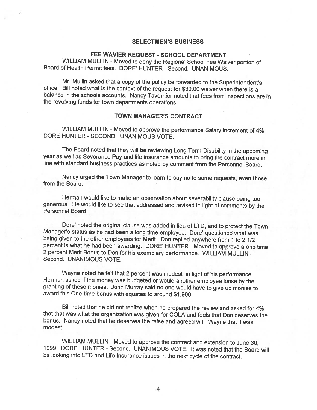## SELECTMEN'S BUSINESS

## FEE WAVIER REQUEST - SCHOOL DEPARTMENT

WILLIAM MULLIN - Moved to deny the Regional School Fee Waiver portion of Board of Health Permit fees. DORE' HUNTER - Second. UNANIMOUS.

Mr. Mullin asked that <sup>a</sup> copy of the policy be forwarded to the Superintendent's office. Bill noted what is the context of the request for \$30.00 waiver when there is <sup>a</sup> balance in the schools accounts. Nancy Tavernier noted that fees from inspections are in the revolving funds for town departments operations.

## TOWN MANAGER'S CONTRACT

WILLIAM MULLIN - Moved to approve the performance Salary increment of 4%. DORE HUNTER - SECOND. UNANIMOUS VOTE.

The Board noted that they will be reviewing Long Term Disability in the upcoming year as well as Severance Pay and life insurance amounts to bring the contract more in line with standard business practices as noted by comment from the Personnel Board.

Nancy urged the Town Manager to learn to say no to some requests, even those from the Board.

Herman would like to make an observation about severability clause being too generous. He would like to see that addressed and revised in light of comments by the Personnel Board.

Dore' noted the original clause was added in lieu of LTD, and to protect the Town Manager's status as he had been <sup>a</sup> long time employee. Dore' questioned what was being <sup>g</sup>iven to the other employees for Merit. Don replied anywhere from <sup>1</sup> to <sup>2</sup> 1/2 percent is what he had been awarding. DORE' HUNTER - Moved to approve <sup>a</sup> one time <sup>2</sup> percent Merit Bonus to Don for his exemplary performance. WILLIAM MULLIN - Second. UNANIMOUS VOTE.

Wayne noted he felt that 2 percent was modest in light of his performance.<br>Herman asked if the money was budgeted or would another employee loose by the granting of these monies. John Murray said no one would have to give up monies to award this One-time bonus with equates to around \$1,900.

Bill noted that he did not realize when he prepared the review and asked for 4% that that was what the organization was <sup>g</sup>iven for COLA and feels that Don deserves the bonus. Nancy noted that he deserves the raise and agreed with Wayne that it was modest.

WILLIAM MULLIN - Moved to approve the contract and extension to June 30, 1999. DORE' HUNTER -Second. UNANIMOUS VOTE. It was noted that the Board will be looking into LTD and Life Insurance issues in the next cycle of the contract.

4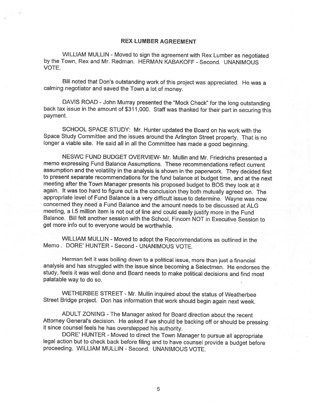## REX LUMBER AGREEMENT

WILLIAM MULLIN - Moved to sign the agreement with Rex Lumber as negotiated by the Town, Rex and Mr. Redman. HERMAN KABAKOFF - Second. UNANIMOUS VOTE.

Bill noted that Don's outstanding work of this project was appreciated. He was <sup>a</sup> calming negotiator and saved the Town <sup>a</sup> lot of money.

DAVIS ROAD -John Murray presented the "Mock Check" for the long outstanding back tax issue in the amount of \$31 1,000. Staff was thanked for their part in securing this payment.

SCHOOL SPACE STUDY: Mr. Hunter updated the Board on his work with the Space Study Committee and the issues around the Arlington Street property. That is no longer <sup>a</sup> viable site. He said all in all the Committee has made <sup>a</sup> good beginning.

NESWC FUND BUDGET OVERVIEW- Mr. Mullin and Mr. Friedrichs presented <sup>a</sup> memo expressing Fund Balance Assumptions. These recommendations reflect current assumption and the volatility in the analysis is shown in the paperwork. They decided first to present separate recommendations for the fund balance at budget time, and at the next meeting after the Town Manager presents his proposed budget to BOS they look at it again. It was too hard to figure out is the conclusion they both mutually agreed on. The appropriate level of Fund Balance is <sup>a</sup> very difficult issue to determine. Wayne was now concerned they need <sup>a</sup> Fund Balance and the amount needs to be discussed at ALG meeting, a I.5 million item is not out of line and could easily justify more in the Fund Balance. Bill felt another session with the School, Fincom NOT in Executive Session to get more info out to everyone would be worthwhile.

WILLIAM MULLIN - Moved to adopt the Recommendations as outlined in the Memo. DORE' HUNTER - Second - UNANIMOUS VOTE.

Herman felt it was boiling down to <sup>a</sup> political issue, more than just <sup>a</sup> financial analysis and has struggled with the issue since becoming <sup>a</sup> Selectmen. He endorses the study, feels it was well done and Board needs to make political decisions and find most palatable way to do so.

WETHERBEE STREET - Mr. MuIlin inquired about the status of Weatherbee Street Bridge project. Don has information that work should begin again next week.

ADULT ZONING -The Manager asked for Board direction about the recent Attorney General's decision. He asked if we should be backing off or should be pressing it since counsel feels he has overstepped his authority.<br>DORE' HUNTER - Moved to direct the Town Manager to pursue all appropriate

legal action but to check back before filing and to have counsel provide a budget before proceeding. WILLIAM MULLIN - Second. UNANIMOUS VOTE.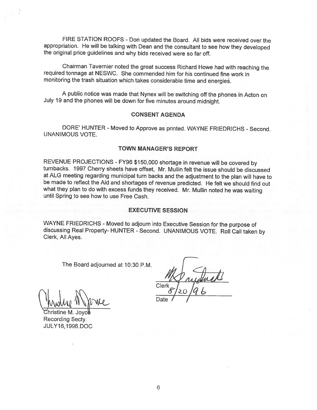FIRE STATION ROOFS - Don updated the Board. All bids were received over the appropriation. He will be talking with Dean and the consultant to see how they developed the original price guidelines and why bids received were so far off.

Chairman Tavernier noted the great success Richard Howe had with reaching the required tonnage at NESWC. She commended him for his continued fine work in monitoring the trash situation which takes considerable time and energies.

<sup>A</sup> public notice was made that Nynex will be switching off the <sup>p</sup>hones in Acton on July <sup>19</sup> and the <sup>p</sup>hones will be down for five minutes around midnight.

## CONSENT AGENDA

DORE' HUNTER - Moved to Approve as printed. WAYNE FRIEDRICHS - Second. UNANIMOUS VOTE

## TOWN MANAGER'S REPORT

REVENUE PROJECTIONS - FY96 \$150,000 shortage in revenue will be covered by<br>turnbacks. 1997 Cherry sheets have offset, Mr. Mullin felt the issue should be discussed<br>at ALG meeting regarding municipal turn backs and the adju be made to reflect the Aid and shortages of revenue predicted. He felt we should find out what they <sup>p</sup>lan to do with excess funds they received. Mr. Mullin noted he was waiting until Spring to see how to use Free Cash.

## EXECUTIVE SESSION

WAYNE FRIEDRICHS - Moved to adjourn into Executive Session for the purpose of discussing Real Property- HUNTER - Second. UNANIMOUS VOTE. Roll Call taken by Clerk, All Ayes.

The Board adjourned at 10:30 P.M.

.'----

.hristine M Recording Secty. JULY16,1996.DOC

Clerk <u>20 /9 b</u>

<u>n Date</u>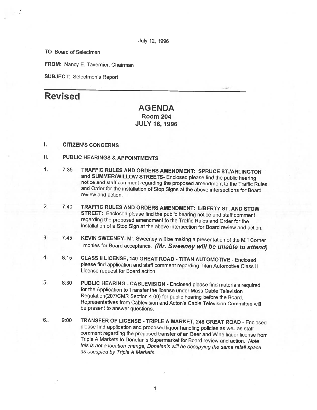July 12, 1996

TO Board of Selectmen

FROM: Nancy E. Tavernier, Chairman

SUBJECT: Selectmen's Report

# Revised

# AGENDA Room 204 JULY 16, 1996

## I. CITIZEN'S CONCERNS

- II. PUBLIC HEARINGS & APPOINTMENTS
- 1. 7:35 TRAFFIC RULES AND ORDERS AMENDMENT: SPRUCE ST./ARLINGTON<br>and SUMMER/WILLOW STREETS- Enclosed please find the public hearing notice and staff comment regarding the proposed amendment to the Traffic Rules and Order for the installation of Stop Signs at the above intersections for Board review and action.
- 2. 7:40 TRAFFIC RULES AND ORDERS AMENDMENT: LIBERTY ST. AND STOW STREET: Enclosed <sup>p</sup>lease find the public hearing notice and staff comment regarding the proposed amendment to the Traffic Rules and Order for the installation of <sup>a</sup> Stop Sign at the above intersection for Board review and action.
- 3. 7:45 KEVIN SWEENEY- Mr. Sweeney will be making <sup>a</sup> presentation of the Mill Corner monies for Board acceptance. (Mr. Sweeney will be unable to attend)
- 4. 8:15 CLASS II LICENSE, 140 GREAT ROAD TITAN AUTOMOTIVE Enclosed <sup>p</sup>lease find application and staff comment regarding Titan Automotive Class II License request for Board action.
- 5. 8:30 PUBLIC HEARING CABLEVISION Enclosed please find materials required for the Application to Transfer the license under Mass Cable Television Regulation(207/CMR Section 4.00) for public hearing before the Board. Representatives from Cablevision and Acton's Cable Television Committee will be present to answer questions.
- 6.. 9:00 TRANSFER OF LICENSE -TRIPLE <sup>A</sup> MARKET, <sup>248</sup> GREAT ROAD -Enclosed <sup>p</sup>lease find application and proposed liquor handling policies as well as staff Triple A Markets to Donelan's Supermarket for Board review and action. Note this is not <sup>a</sup> location change, Donelan's will be occupying the same retail space as occupied by Triple <sup>A</sup> Markets.